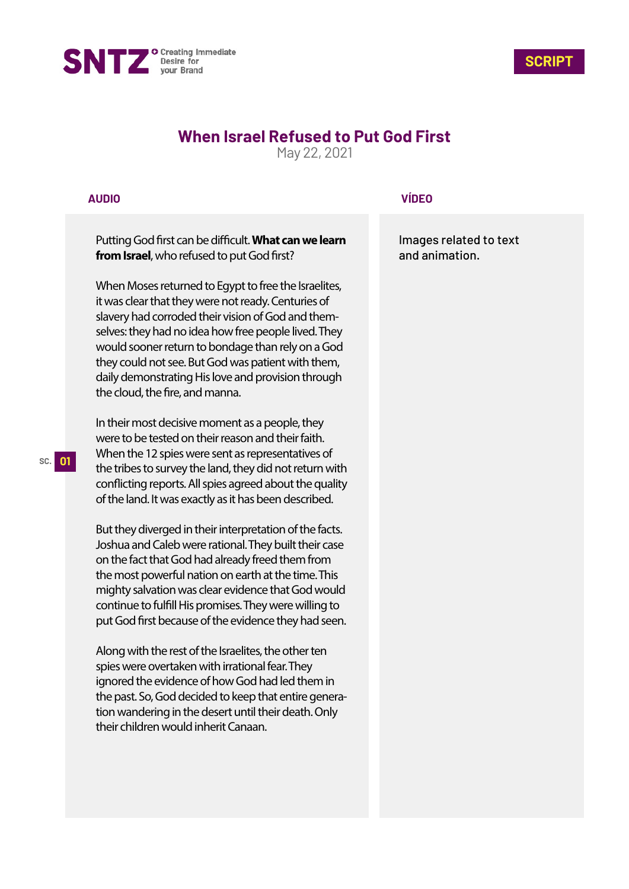



## **When Israel Refused to Put God First**

May 22, 2021

## **AUDIO**

Putting God first can be difficult. What can we learn **from Israel**, who refused to put God first?

When Moses returned to Egypt to free the Israelites, it was clear that they were not ready. Centuries of slavery had corroded their vision of God and themselves: they had no idea how free people lived. They would sooner return to bondage than rely on a God they could not see. But God was patient with them, daily demonstrating His love and provision through the cloud, the fire, and manna.

In their most decisive moment as a people, they were to be tested on their reason and their faith. When the 12 spies were sent as representatives of the tribes to survey the land, they did not return with conflicting reports. All spies agreed about the quality of the land. It was exactly as it has been described.

But they diverged in their interpretation of the facts. Joshua and Caleb were rational. They built their case on the fact that God had already freed them from the most powerful nation on earth at the time. This mighty salvation was clear evidence that God would continue to fulfill His promises. They were willing to put God first because of the evidence they had seen.

Along with the rest of the Israelites, the other ten spies were overtaken with irrational fear. They ignored the evidence of how God had led them in the past. So, God decided to keep that entire generation wandering in the desert until their death. Only their children would inherit Canaan.

## **VÍDEO**

Images related to text and animation.